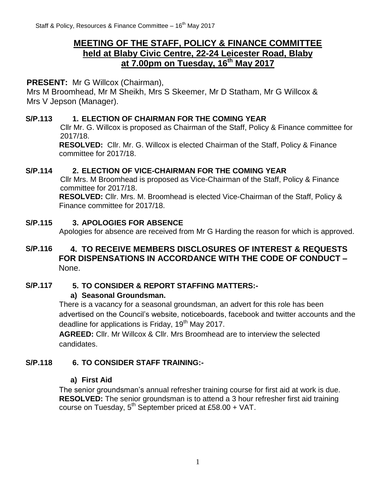# **MEETING OF THE STAFF, POLICY & FINANCE COMMITTEE held at Blaby Civic Centre, 22-24 Leicester Road, Blaby at 7.00pm on Tuesday, 16th May 2017**

# **PRESENT:** Mr G Willcox (Chairman),

Mrs M Broomhead, Mr M Sheikh, Mrs S Skeemer, Mr D Statham, Mr G Willcox & Mrs V Jepson (Manager).

### **S/P.113 1. ELECTION OF CHAIRMAN FOR THE COMING YEAR**

Cllr Mr. G. Willcox is proposed as Chairman of the Staff, Policy & Finance committee for 2017/18.

**RESOLVED:** Cllr. Mr. G. Willcox is elected Chairman of the Staff, Policy & Finance committee for 2017/18.

### **S/P.114 2. ELECTION OF VICE-CHAIRMAN FOR THE COMING YEAR**

Cllr Mrs. M Broomhead is proposed as Vice-Chairman of the Staff, Policy & Finance committee for 2017/18.

**RESOLVED:** Cllr. Mrs. M. Broomhead is elected Vice-Chairman of the Staff, Policy & Finance committee for 2017/18.

#### **S/P.115 3. APOLOGIES FOR ABSENCE**

Apologies for absence are received from Mr G Harding the reason for which is approved.

## **S/P.116 4. TO RECEIVE MEMBERS DISCLOSURES OF INTEREST & REQUESTS FOR DISPENSATIONS IN ACCORDANCE WITH THE CODE OF CONDUCT –** None.

## **S/P.117 5. TO CONSIDER & REPORT STAFFING MATTERS:-**

#### **a) Seasonal Groundsman.**

There is a vacancy for a seasonal groundsman, an advert for this role has been advertised on the Council's website, noticeboards, facebook and twitter accounts and the deadline for applications is Friday, 19<sup>th</sup> May 2017.

**AGREED:** Cllr. Mr Willcox & Cllr. Mrs Broomhead are to interview the selected candidates.

## **S/P.118 6. TO CONSIDER STAFF TRAINING:-**

#### **a) First Aid**

The senior groundsman's annual refresher training course for first aid at work is due. **RESOLVED:** The senior groundsman is to attend a 3 hour refresher first aid training course on Tuesday,  $5^{th}$  September priced at £58.00 + VAT.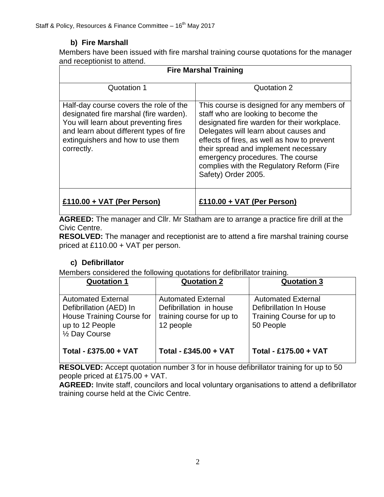# **b) Fire Marshall**

Members have been issued with fire marshal training course quotations for the manager and receptionist to attend.

| <b>Fire Marshal Training</b>                                                                                                                                                                                            |                                                                                                                                                                                                                                                                                                                                                                          |  |
|-------------------------------------------------------------------------------------------------------------------------------------------------------------------------------------------------------------------------|--------------------------------------------------------------------------------------------------------------------------------------------------------------------------------------------------------------------------------------------------------------------------------------------------------------------------------------------------------------------------|--|
| Quotation 1                                                                                                                                                                                                             | Quotation 2                                                                                                                                                                                                                                                                                                                                                              |  |
| Half-day course covers the role of the<br>designated fire marshal (fire warden).<br>You will learn about preventing fires<br>and learn about different types of fire<br>extinguishers and how to use them<br>correctly. | This course is designed for any members of<br>staff who are looking to become the<br>designated fire warden for their workplace.<br>Delegates will learn about causes and<br>effects of fires, as well as how to prevent<br>their spread and implement necessary<br>emergency procedures. The course<br>complies with the Regulatory Reform (Fire<br>Safety) Order 2005. |  |
| £110.00 + VAT (Per Person)                                                                                                                                                                                              | £110.00 + VAT (Per Person)                                                                                                                                                                                                                                                                                                                                               |  |

**AGREED:** The manager and Cllr. Mr Statham are to arrange a practice fire drill at the Civic Centre.

**RESOLVED:** The manager and receptionist are to attend a fire marshal training course priced at £110.00 + VAT per person.

# **c) Defibrillator**

Members considered the following quotations for defibrillator training.

| <b>Quotation 1</b>                                                                                                     | <b>Quotation 2</b>                                                                             | <b>Quotation 3</b>                                                                                    |
|------------------------------------------------------------------------------------------------------------------------|------------------------------------------------------------------------------------------------|-------------------------------------------------------------------------------------------------------|
| <b>Automated External</b><br>Defibrillation (AED) In<br>House Training Course for<br>up to 12 People<br>1/2 Day Course | <b>Automated External</b><br>Defibrillation in house<br>training course for up to<br>12 people | <b>Automated External</b><br><b>Defibrillation In House</b><br>Training Course for up to<br>50 People |
| Total - £375.00 + VAT                                                                                                  | Total - £345.00 + VAT                                                                          | Total - £175.00 + VAT                                                                                 |

**RESOLVED:** Accept quotation number 3 for in house defibrillator training for up to 50 people priced at £175.00 + VAT.

**AGREED:** Invite staff, councilors and local voluntary organisations to attend a defibrillator training course held at the Civic Centre.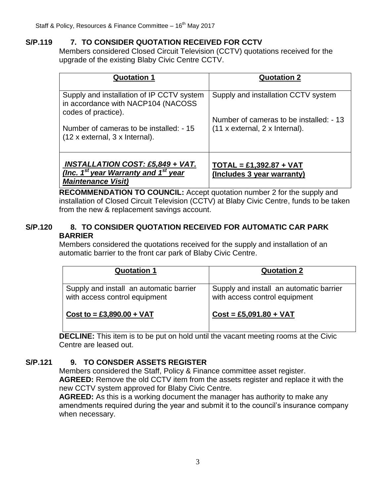## **S/P.119 7. TO CONSIDER QUOTATION RECEIVED FOR CCTV**

Members considered Closed Circuit Television (CCTV) quotations received for the upgrade of the existing Blaby Civic Centre CCTV.

| <b>Quotation 1</b>                                                                                                                   | <b>Quotation 2</b>                                                             |  |
|--------------------------------------------------------------------------------------------------------------------------------------|--------------------------------------------------------------------------------|--|
| Supply and installation of IP CCTV system<br>in accordance with NACP104 (NACOSS<br>codes of practice).                               | Supply and installation CCTV system<br>Number of cameras to be installed: - 13 |  |
| Number of cameras to be installed: - 15<br>$(12 \times$ external, 3 x Internal).                                                     | $(11 x$ external, 2 x Internal).                                               |  |
| <u>INSTALLATION COST: £5,849 + VAT.</u><br>(Inc. 1 <sup>st</sup> year Warranty and 1 <sup>st</sup> year<br><b>Maintenance Visit)</b> | $TOTAL = £1,392.87 + VAT$<br>(Includes 3 year warranty)                        |  |

**RECOMMENDATION TO COUNCIL:** Accept quotation number 2 for the supply and installation of Closed Circuit Television (CCTV) at Blaby Civic Centre, funds to be taken from the new & replacement savings account.

### **S/P.120 8. TO CONSIDER QUOTATION RECEIVED FOR AUTOMATIC CAR PARK BARRIER**

Members considered the quotations received for the supply and installation of an automatic barrier to the front car park of Blaby Civic Centre.

| <b>Quotation 1</b>                                                       | <b>Quotation 2</b>                                                       |
|--------------------------------------------------------------------------|--------------------------------------------------------------------------|
| Supply and install an automatic barrier<br>with access control equipment | Supply and install an automatic barrier<br>with access control equipment |
| Cost to = £3,890.00 + VAT                                                | $Cost = £5,091.80 + VAT$                                                 |

**DECLINE:** This item is to be put on hold until the vacant meeting rooms at the Civic Centre are leased out.

## **S/P.121 9. TO CONSDER ASSETS REGISTER**

Members considered the Staff, Policy & Finance committee asset register. **AGREED:** Remove the old CCTV item from the assets register and replace it with the new CCTV system approved for Blaby Civic Centre.

**AGREED:** As this is a working document the manager has authority to make any amendments required during the year and submit it to the council's insurance company when necessary.